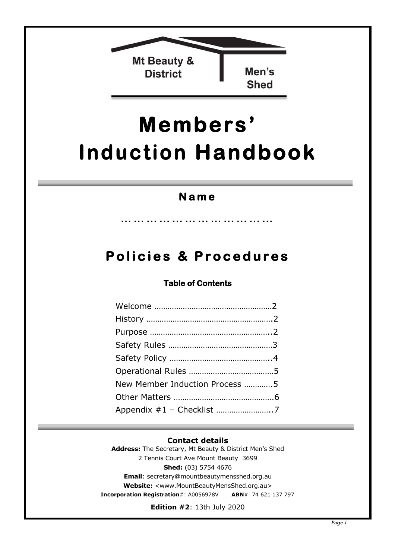

# **Members' Induction Handbook**

## **N a m e**

… ……………………………

## **Pol i c i e s & P r ocedur e s**

#### **Table of Contents**

| New Member Induction Process 5 |  |
|--------------------------------|--|
|                                |  |
|                                |  |

#### **Contact details**

**Address:** The Secretary, Mt Beauty & District Men's Shed 2 Tennis Court Ave Mount Beauty 3699 **Shed:** (03) 5754 4676 **Email**: secretary@mountbeautymensshed.org.au **Website:** [<www.MountBeautyMensShed.o](mailto:secretary@mountbeautymensshed.org.au)rg.a[u>](http://www.mountbeautymensshed.org.au/)  **[Incorporation Registration](http://www.mountbeautymensshed.org.au/)**#: A0056978V **ABN**# 74 621 137 797

**Edition #2**: 13th July 2020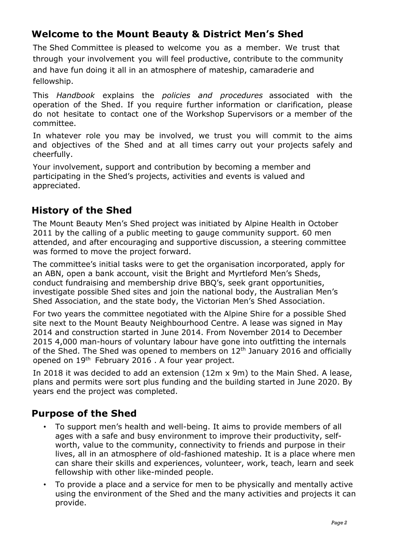## **Welcome to the Mount Beauty & District Men's Shed**

The Shed Committee is pleased to welcome you as a member. We trust that through your involvement you will feel productive, contribute to the community and have fun doing it all in an atmosphere of mateship, camaraderie and fellowship.

This *Handbook* explains the *policies and procedures* associated with the operation of the Shed. If you require further information or clarification, please do not hesitate to contact one of the Workshop Supervisors or a member of the committee.

In whatever role you may be involved, we trust you will commit to the aims and objectives of the Shed and at all times carry out your projects safely and cheerfully.

Your involvement, support and contribution by becoming a member and participating in the Shed's projects, activities and events is valued and appreciated.

## **History of the Shed**

The Mount Beauty Men's Shed project was initiated by Alpine Health in October 2011 by the calling of a public meeting to gauge community support. 60 men attended, and after encouraging and supportive discussion, a steering committee was formed to move the project forward.

The committee's initial tasks were to get the organisation incorporated, apply for an ABN, open a bank account, visit the Bright and Myrtleford Men's Sheds, conduct fundraising and membership drive BBQ's, seek grant opportunities, investigate possible Shed sites and join the national body, the Australian Men's Shed Association, and the state body, the Victorian Men's Shed Association.

For two years the committee negotiated with the Alpine Shire for a possible Shed site next to the Mount Beauty Neighbourhood Centre. A lease was signed in May 2014 and construction started in June 2014. From November 2014 to December 2015 4,000 man-hours of voluntary labour have gone into outfitting the internals of the Shed. The Shed was opened to members on  $12<sup>th</sup>$  January 2016 and officially opened on 19th February 2016 . A four year project.

In 2018 it was decided to add an extension (12m x 9m) to the Main Shed. A lease, plans and permits were sort plus funding and the building started in June 2020. By years end the project was completed.

### **Purpose of the Shed**

- To support men's health and well-being. It aims to provide members of all ages with a safe and busy environment to improve their productivity, selfworth, value to the community, connectivity to friends and purpose in their lives, all in an atmosphere of old-fashioned mateship. It is a place where men can share their skills and experiences, volunteer, work, teach, learn and seek fellowship with other like-minded people.
- To provide a place and a service for men to be physically and mentally active using the environment of the Shed and the many activities and projects it can provide.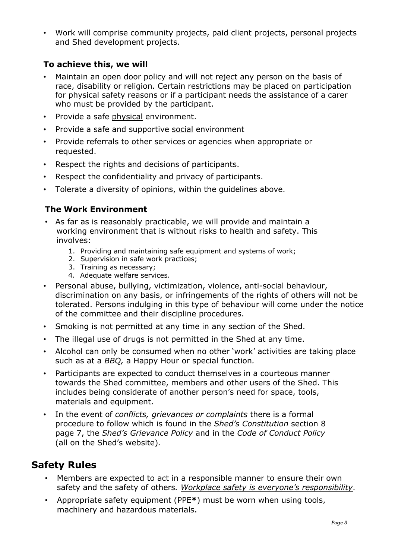• Work will comprise community projects, paid client projects, personal projects and Shed development projects.

#### **To achieve this, we will**

- Maintain an open door policy and will not reject any person on the basis of race, disability or religion. Certain restrictions may be placed on participation for physical safety reasons or if a participant needs the assistance of a carer who must be provided by the participant.
- Provide a safe physical environment.
- Provide a safe and supportive social environment
- Provide referrals to other services or agencies when appropriate or requested.
- Respect the rights and decisions of participants.
- Respect the confidentiality and privacy of participants.
- Tolerate a diversity of opinions, within the guidelines above.

#### **The Work Environment**

- As far as is reasonably practicable, we will provide and maintain a working environment that is without risks to health and safety. This involves:
	- 1. Providing and maintaining safe equipment and systems of work;
	- 2. Supervision in safe work practices;
	- 3. Training as necessary;
	- 4. Adequate welfare services.
- Personal abuse, bullying, victimization, violence, anti-social behaviour, discrimination on any basis, or infringements of the rights of others will not be tolerated. Persons indulging in this type of behaviour will come under the notice of the committee and their discipline procedures.
- Smoking is not permitted at any time in any section of the Shed.
- The illegal use of drugs is not permitted in the Shed at any time.
- Alcohol can only be consumed when no other 'work' activities are taking place such as at a *BBQ,* a Happy Hour or special function*.*
- Participants are expected to conduct themselves in a courteous manner towards the Shed committee, members and other users of the Shed. This includes being considerate of another person's need for space, tools, materials and equipment.
- In the event of *conflicts, grievances or complaints* there is a formal procedure to follow which is found in the *Shed's Constitution* section 8 page 7, the *Shed's Grievance Policy* and in the *Code of Conduct Policy* (all on the Shed's website)*.*

## **Safety Rules**

- Members are expected to act in a responsible manner to ensure their own safety and the safety of others*. Workplace safety is everyone's responsibility*.
- Appropriate safety equipment (PPE**\***) must be worn when using tools, machinery and hazardous materials.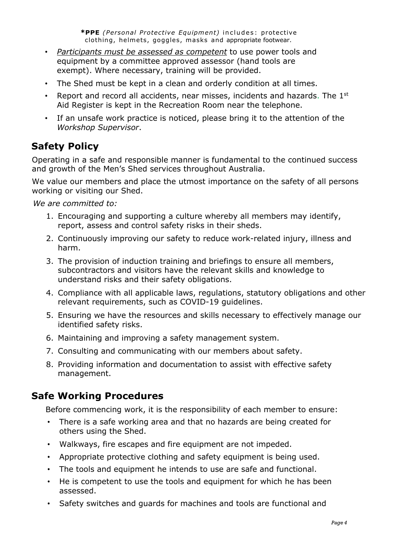*\****PPE** *(Personal Protective Equipment)* includes: protective clothing, helmets, goggles, masks and appropriate footwear.

- *Participants must be assessed as competent* to use power tools and equipment by a committee approved assessor (hand tools are exempt). Where necessary, training will be provided.
- The Shed must be kept in a clean and orderly condition at all times.
- Report and record all accidents, near misses, incidents and hazards. The 1<sup>st</sup> Aid Register is kept in the Recreation Room near the telephone.
- If an unsafe work practice is noticed, please bring it to the attention of the *Workshop Supervisor*.

## **Safety Policy**

Operating in a safe and responsible manner is fundamental to the continued success and growth of the Men's Shed services throughout Australia.

We value our members and place the utmost importance on the safety of all persons working or visiting our Shed.

*We are committed to:* 

- 1. Encouraging and supporting a culture whereby all members may identify, report, assess and control safety risks in their sheds.
- 2. Continuously improving our safety to reduce work-related injury, illness and harm.
- 3. The provision of induction training and briefings to ensure all members, subcontractors and visitors have the relevant skills and knowledge to understand risks and their safety obligations.
- 4. Compliance with all applicable laws, regulations, statutory obligations and other relevant requirements, such as COVID-19 guidelines.
- 5. Ensuring we have the resources and skills necessary to effectively manage our identified safety risks.
- 6. Maintaining and improving a safety management system.
- 7. Consulting and communicating with our members about safety.
- 8. Providing information and documentation to assist with effective safety management.

### **Safe Working Procedures**

Before commencing work, it is the responsibility of each member to ensure:

- There is a safe working area and that no hazards are being created for others using the Shed.
- Walkways, fire escapes and fire equipment are not impeded.
- Appropriate protective clothing and safety equipment is being used.
- The tools and equipment he intends to use are safe and functional.
- He is competent to use the tools and equipment for which he has been assessed.
- Safety switches and guards for machines and tools are functional and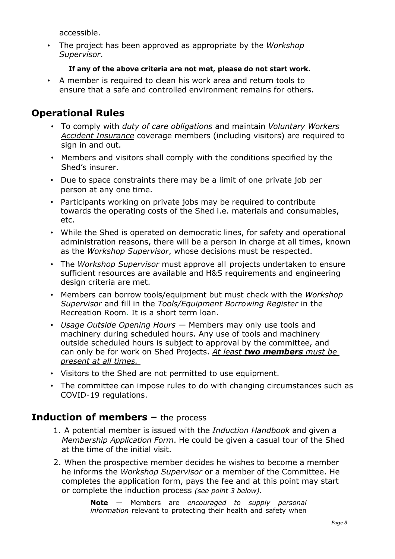accessible.

• The project has been approved as appropriate by the *Workshop Supervisor*.

#### **If any of the above criteria are not met, please do not start work.**

• A member is required to clean his work area and return tools to ensure that a safe and controlled environment remains for others.

## **Operational Rules**

- To comply with *duty of care obligations* and maintain *Voluntary Workers Accident Insurance* coverage members (including visitors) are required to sign in and out.
- Members and visitors shall comply with the conditions specified by the Shed's insurer.
- Due to space constraints there may be a limit of one private job per person at any one time.
- Participants working on private jobs may be required to contribute towards the operating costs of the Shed i.e. materials and consumables, etc.
- While the Shed is operated on democratic lines, for safety and operational administration reasons, there will be a person in charge at all times, known as the *Workshop Supervisor*, whose decisions must be respected.
- The *Workshop Supervisor* must approve all projects undertaken to ensure sufficient resources are available and H&S requirements and engineering design criteria are met.
- Members can borrow tools/equipment but must check with the *Workshop Supervisor* and fill in the *Tools/Equipment Borrowing Register* in the Recreation Room. It is a short term loan.
- *Usage Outside Opening Hours* Members may only use tools and machinery during scheduled hours. Any use of tools and machinery outside scheduled hours is subject to approval by the committee, and can only be for work on Shed Projects. *At least two members must be present at all times.*
- Visitors to the Shed are not permitted to use equipment.
- The committee can impose rules to do with changing circumstances such as COVID-19 regulations.

#### **Induction of members –** the process

- 1. A potential member is issued with the *Induction Handbook* and given a *Membership Application Form*. He could be given a casual tour of the Shed at the time of the initial visit.
- 2. When the prospective member decides he wishes to become a member he informs the *Workshop Supervisor* or a member of the Committee. He completes the application form, pays the fee and at this point may start or complete the induction process *(see point 3 below).*

**Note** — Members are *encouraged to supply personal information* relevant to protecting their health and safety when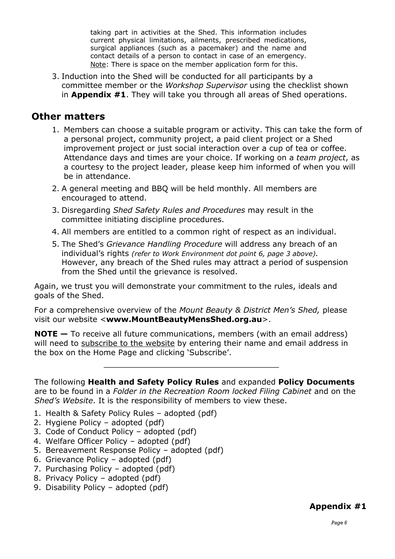taking part in activities at the Shed. This information includes current physical limitations, ailments, prescribed medications, surgical appliances (such as a pacemaker) and the name and contact details of a person to contact in case of an emergency. Note: There is space on the member application form for this.

3. Induction into the Shed will be conducted for all participants by a committee member or the *Workshop Supervisor* using the checklist shown in **Appendix #1**. They will take you through all areas of Shed operations.

#### **Other matters**

- 1. Members can choose a suitable program or activity. This can take the form of a personal project, community project, a paid client project or a Shed improvement project or just social interaction over a cup of tea or coffee. Attendance days and times are your choice. If working on a *team project*, as a courtesy to the project leader, please keep him informed of when you will be in attendance.
- 2. A general meeting and BBQ will be held monthly. All members are encouraged to attend.
- 3. Disregarding *Shed Safety Rules and Procedures* may result in the committee initiating discipline procedures.
- 4. All members are entitled to a common right of respect as an individual.
- 5. The Shed's *Grievance Handling Procedure* will address any breach of an individual's rights *(refer to Work Environment dot point 6, page 3 above).* However, any breach of the Shed rules may attract a period of suspension from the Shed until the grievance is resolved.

Again, we trust you will demonstrate your commitment to the rules, ideals and goals of the Shed.

For a comprehensive overview of the *Mount Beauty & District Men's Shed,* please visit our website <**www.MountBeautyMensShed.org.au**>.

**NOTE** – To receive all future communications, members (with an email address) will need to subscribe to the website by entering their name and email address in the box on the Home Page and clicking 'Subscribe'.

The following **Health and Safety Policy Rules** and expanded **Policy Documents** are to be found in a *Folder in the Recreation Room locked Filing Cabinet* and on the *Shed's Website*. It is the responsibility of members to view these.

- 1. Health & Safety Policy Rules adopted (pdf)
- 2. Hygiene Policy adopted (pdf)
- 3. Code of Conduct Policy adopted (pdf)
- 4. Welfare Officer Policy adopted (pdf)
- 5. Bereavement Response Policy adopted (pdf)
- 6. Grievance Policy adopted (pdf)
- 7. Purchasing Policy adopted (pdf)
- 8. Privacy Policy adopted (pdf)
- 9. Disability Policy adopted (pdf)

#### **Appendix #1**